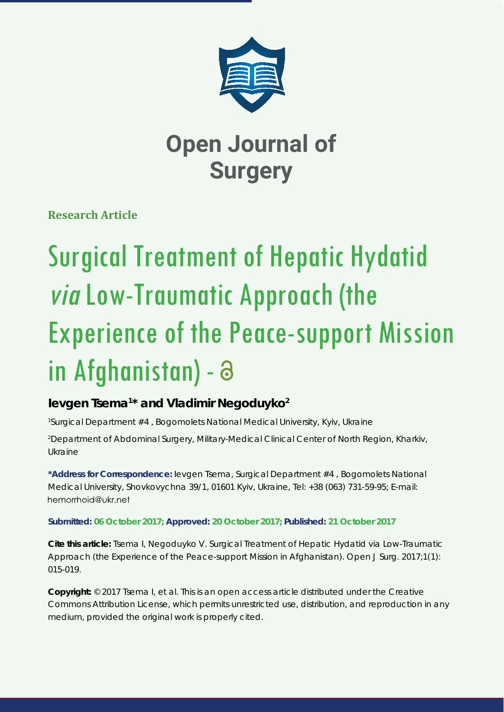

**Research Article**

# Surgical Treatment of Hepatic Hydatid via Low-Traumatic Approach (the Experience of the Peace-support Mission in Afghanistan) -

### **Ievgen Tsema1 \* and Vladimir Negoduyko2**

*1 Surgical Department #4 , Bogomolets National Medical University, Kyiv, Ukraine*

*2 Department of Abdominal Surgery, Military-Medical Clinical Center of North Region, Kharkiv, Ukraine*

**\*Address for Correspondence:** Ievgen Tsema, Surgical Department #4 , Bogomolets National Medical University, Shovkovychna 39/1, 01601 Kyiv, Ukraine, Tel: +38 (063) 731-59-95; E-mail: hemorrhoid@ukr.net

#### **Submitted: 06 October 2017; Approved: 20 October 2017; Published: 21 October 2017**

**Cite this article:** Tsema I, Negoduyko V. Surgical Treatment of Hepatic Hydatid *via* Low-Traumatic Approach (the Experience of the Peace-support Mission in Afghanistan). Open J Surg. 2017;1(1): 015-019.

**Copyright:** © 2017 Tsema I, et al. This is an open access article distributed under the Creative Commons Attribution License, which permits unrestricted use, distribution, and reproduction in any medium, provided the original work is properly cited.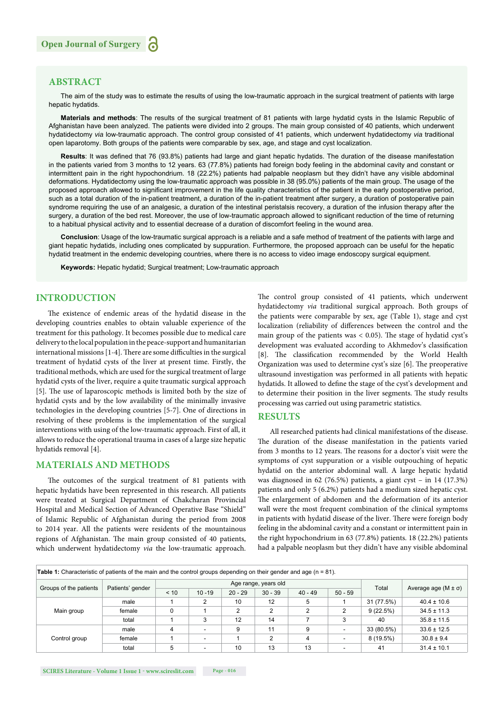#### **ABSTRACT**

The aim of the study was to estimate the results of using the low-traumatic approach in the surgical treatment of patients with large hepatic hydatids.

**Materials and methods**: The results of the surgical treatment of 81 patients with large hydatid cysts in the Islamic Republic of Afghanistan have been analyzed. The patients were divided into 2 groups. The main group consisted of 40 patients, which underwent hydatidectomy *via* low-traumatic approach. The control group consisted of 41 patients, which underwent hydatidectomy *via* traditional open laparotomy. Both groups of the patients were comparable by sex, age, and stage and cyst localization.

Results: It was defined that 76 (93.8%) patients had large and giant hepatic hydatids. The duration of the disease manifestation in the patients varied from 3 months to 12 years. 63 (77.8%) patients had foreign body feeling in the abdominal cavity and constant or intermittent pain in the right hypochondrium. 18 (22.2%) patients had palpable neoplasm but they didn't have any visible abdominal deformations. Hydatidectomy using the low-traumatic approach was possible in 38 (95.0%) patients of the main group. The usage of the proposed approach allowed to significant improvement in the life quality characteristics of the patient in the early postoperative period, such as a total duration of the in-patient treatment, a duration of the in-patient treatment after surgery, a duration of postoperative pain syndrome requiring the use of an analgesic, a duration of the intestinal peristalsis recovery, a duration of the infusion therapy after the surgery, a duration of the bed rest. Moreover, the use of low-traumatic approach allowed to significant reduction of the time of returning to a habitual physical activity and to essential decrease of a duration of discomfort feeling in the wound area.

**Conclusion**: Usage of the low-traumatic surgical approach is a reliable and a safe method of treatment of the patients with large and giant hepatic hydatids, including ones complicated by suppuration. Furthermore, the proposed approach can be useful for the hepatic hydatid treatment in the endemic developing countries, where there is no access to video image endoscopy surgical equipment.

**Keywords:** Hepatic hydatid; Surgical treatment; Low-traumatic approach

#### **INTRODUCTION**

The existence of endemic areas of the hydatid disease in the developing countries enables to obtain valuable experience of the treatment for this pathology. It becomes possible due to medical care delivery to the local population in the peace-support and humanitarian international missions  $[1-4]$ . There are some difficulties in the surgical treatment of hydatid cysts of the liver at present time. Firstly, the traditional methods, which are used for the surgical treatment of large hydatid cysts of the liver, require a quite traumatic surgical approach [5]. The use of laparoscopic methods is limited both by the size of hydatid cysts and by the low availability of the minimally invasive technologies in the developing countries [5-7]. One of directions in resolving of these problems is the implementation of the surgical interventions with using of the low-traumatic approach. First of all, it allows to reduce the operational trauma in cases of a large size hepatic hydatids removal [4].

#### **MATERIALS AND METHODS**

The outcomes of the surgical treatment of 81 patients with hepatic hydatids have been represented in this research. All patients were treated at Surgical Department of Chakcharan Provincial Hospital and Medical Section of Advanced Operative Base "Shield" of Islamic Republic of Afghanistan during the period from 2008 to 2014 year. All the patients were residents of the mountainous regions of Afghanistan. The main group consisted of 40 patients, which underwent hydatidectomy *via* the low-traumatic approach. The control group consisted of 41 patients, which underwent hydatidectomy *via* traditional surgical approach. Both groups of the patients were comparable by sex, age (Table 1), stage and cyst localization (reliability of differences between the control and the main group of the patients was  $< 0.05$ ). The stage of hydatid cyst's development was evaluated according to Akhmedov's classification [8]. The classification recommended by the World Health Organization was used to determine cyst's size [6]. The preoperative ultrasound investigation was performed in all patients with hepatic hydatids. It allowed to define the stage of the cyst's development and to determine their position in the liver segments. The study results processing was carried out using parametric statistics.

#### **RESULTS**

All researched patients had clinical manifestations of the disease. The duration of the disease manifestation in the patients varied from 3 months to 12 years. The reasons for a doctor's visit were the symptoms of cyst suppuration or a visible outpouching of hepatic hydatid on the anterior abdominal wall. A large hepatic hydatid was diagnosed in 62 (76.5%) patients, a giant cyst – in 14 (17.3%) patients and only 5 (6.2%) patients had a medium sized hepatic cyst. The enlargement of abdomen and the deformation of its anterior wall were the most frequent combination of the clinical symptoms in patients with hydatid disease of the liver. There were foreign body feeling in the abdominal cavity and a constant or intermittent pain in the right hypochondrium in 63 (77.8%) patients. 18 (22.2%) patients had a palpable neoplasm but they didn't have any visible abdominal

| Table 1: Characteristic of patients of the main and the control groups depending on their gender and age ( $n = 81$ ). |                  |                      |                          |           |           |           |           |             |                              |
|------------------------------------------------------------------------------------------------------------------------|------------------|----------------------|--------------------------|-----------|-----------|-----------|-----------|-------------|------------------------------|
|                                                                                                                        | Patients' gender | Age range, years old |                          |           |           |           |           |             |                              |
| Groups of the patients                                                                                                 |                  | < 10                 | $10 - 19$                | $20 - 29$ | $30 - 39$ | $40 - 49$ | $50 - 59$ | Total       | Average age $(M \pm \sigma)$ |
|                                                                                                                        | male             |                      | 2                        | 10        | 12        | 5         |           | 31 (77.5%)  | $40.4 \pm 10.6$              |
| Main group                                                                                                             | female           |                      |                          | $\sim$    | 2         | C         | 2         | 9(22.5%)    | $34.5 \pm 11.3$              |
|                                                                                                                        | total            |                      | 3                        | 12        | 14        |           | 3         | 40          | $35.8 \pm 11.5$              |
|                                                                                                                        | male             | $\overline{4}$       | ۰                        | g         | 11        | 9         | ٠         | 33 (80.5%)  | $33.6 \pm 12.5$              |
| Control group                                                                                                          | female           |                      | $\overline{\phantom{a}}$ |           | ົ         | 4         | ٠         | $8(19.5\%)$ | $30.8 \pm 9.4$               |
|                                                                                                                        | total            | 5                    | $\overline{\phantom{0}}$ | 10        | 13        | 13        | ٠         | 41          | $31.4 \pm 10.1$              |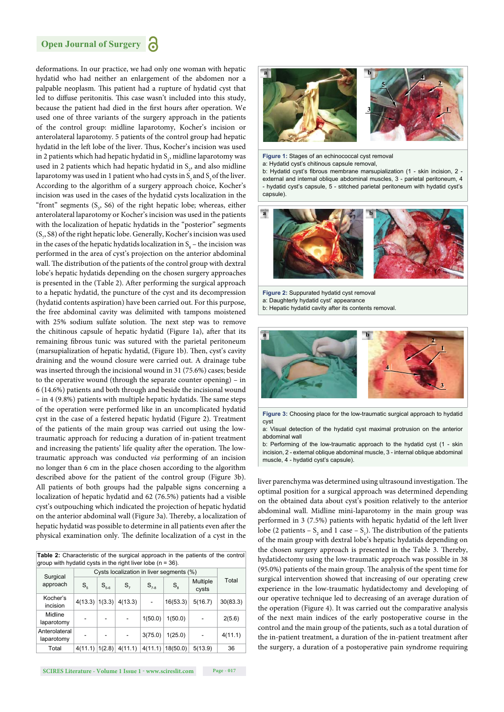deformations. In our practice, we had only one woman with hepatic hydatid who had neither an enlargement of the abdomen nor a palpable neoplasm. This patient had a rupture of hydatid cyst that led to diffuse peritonitis. This case wasn't included into this study, because the patient had died in the first hours after operation. We used one of three variants of the surgery approach in the patients of the control group: midline laparotomy, Kocher's incision or anterolateral laparotomy. 5 patients of the control group had hepatic hydatid in the left lobe of the liver. Thus, Kocher's incision was used in 2 patients which had hepatic hydatid in  $S_1$ , midline laparotomy was used in 2 patients which had hepatic hydatid in  $S_2$ , and also midline laparotomy was used in 1 patient who had cysts in  $S_2$  and  $S_3$  of the liver. According to the algorithm of a surgery approach choice, Kocher's incision was used in the cases of the hydatid cysts localization in the "front" segments  $(S<sub>5</sub>, S6)$  of the right hepatic lobe; whereas, either anterolateral laparotomy or Kocher's incision was used in the patients with the localization of hepatic hydatids in the "posterior" segments  $(\mathsf{S}_7, \mathsf{S8})$  of the right hepatic lobe. Generally, Kocher's incision was used in the cases of the hepatic hydatids localization in  $S_8$  – the incision was performed in the area of cyst's projection on the anterior abdominal wall. The distribution of the patients of the control group with dextral lobe's hepatic hydatids depending on the chosen surgery approaches is presented in the (Table 2). After performing the surgical approach to a hepatic hydatid, the puncture of the cyst and its decompression (hydatid contents aspiration) have been carried out. For this purpose, the free abdominal cavity was delimited with tampons moistened with 25% sodium sulfate solution. The next step was to remove the chitinous capsule of hepatic hydatid (Figure 1a), after that its remaining fibrous tunic was sutured with the parietal peritoneum (marsupialization of hepatic hydatid, (Figure 1b). Then, cyst's cavity draining and the wound closure were carried out. A drainage tube was inserted through the incisional wound in 31 (75.6%) cases; beside to the operative wound (through the separate counter opening) – in 6 (14.6%) patients and both through and beside the incisional wound – in 4 (9.8%) patients with multiple hepatic hydatids. The same steps of the operation were performed like in an uncomplicated hydatid cyst in the case of a festered hepatic hydatid (Figure 2). Treatment of the patients of the main group was carried out using the lowtraumatic approach for reducing a duration of in-patient treatment and increasing the patients' life quality after the operation. The lowtraumatic approach was conducted *via* performing of an incision no longer than 6 cm in the place chosen according to the algorithm described above for the patient of the control group (Figure 3b). All patients of both groups had the palpable signs concerning a localization of hepatic hydatid and 62 (76.5%) patients had a visible cyst's outpouching which indicated the projection of hepatic hydatid on the anterior abdominal wall (Figure 3a). Thereby, a localization of hepatic hydatid was possible to determine in all patients even after the physical examination only. The definite localization of a cyst in the

**Table 2:** Characteristic of the surgical approach in the patients of the control  $\alpha$  aroup with hydatid cysts in the right liver lobe (n = 36).

|                             | Cysts localization in liver segments (%) |           |         |           |             |                   |          |
|-----------------------------|------------------------------------------|-----------|---------|-----------|-------------|-------------------|----------|
| Surgical<br>approach        | $S_{\kappa}$                             | $S_{5.6}$ | $S_{7}$ | $S_{7.8}$ | $S_{\rm a}$ | Multiple<br>cysts | Total    |
| Kocher's<br>incision        | 4(13.3)   1(3.3)                         |           | 4(13.3) |           | 16(53.3)    | 5(16.7)           | 30(83.3) |
| Midline<br>laparotomy       |                                          | -         |         | 1(50.0)   | 1(50.0)     |                   | 2(5.6)   |
| Anterolateral<br>laparotomy |                                          |           |         | 3(75.0)   | 1(25.0)     |                   | 4(11.1)  |
| Total                       | 4(11.1)                                  | 1(2.8)    | 4(11.1) | 4(11.1)   | 18(50.0)    | 5(13.9)           | 36       |



**Figure 1:** Stages of an echinococcal cyst removal a: Hydatid cyst's chitinous capsule removal,

b: Hydatid cyst's fibrous membrane marsupialization (1 - skin incision, 2 external and internal oblique abdominal muscles, 3 - parietal peritoneum, 4 - hydatid cyst's capsule, 5 - stitched parietal peritoneum with hydatid cyst's capsule).



**Figure 2:** Suppurated hydatid cyst removal

- a: Daughterly hydatid cyst' appearance
- b: Hepatic hydatid cavity after its contents removal.



**Figure 3:** Choosing place for the low-traumatic surgical approach to hydatid cyst

a: Visual detection of the hydatid cyst maximal protrusion on the anterior abdominal wall

b: Performing of the low-traumatic approach to the hydatid cyst (1 - skin incision, 2 - external oblique abdominal muscle, 3 - internal oblique abdominal muscle, 4 - hydatid cyst's capsule).

liver parenchyma was determined using ultrasound investigation. The optimal position for a surgical approach was determined depending on the obtained data about cyst's position relatively to the anterior abdominal wall. Midline mini-laparotomy in the main group was performed in 3 (7.5%) patients with hepatic hydatid of the left liver lobe (2 patients –  $S_2$  and 1 case –  $S_1$ ). The distribution of the patients of the main group with dextral lobe's hepatic hydatids depending on the chosen surgery approach is presented in the Table 3. Thereby, hydatidectomy using the low-traumatic approach was possible in 38 (95.0%) patients of the main group. The analysis of the spent time for surgical intervention showed that increasing of our operating crew experience in the low-traumatic hydatidectomy and developing of our operative technique led to decreasing of an average duration of the operation (Figure 4). It was carried out the comparative analysis of the next main indices of the early postoperative course in the control and the main group of the patients, such as a total duration of the in-patient treatment, a duration of the in-patient treatment after the surgery, a duration of a postoperative pain syndrome requiring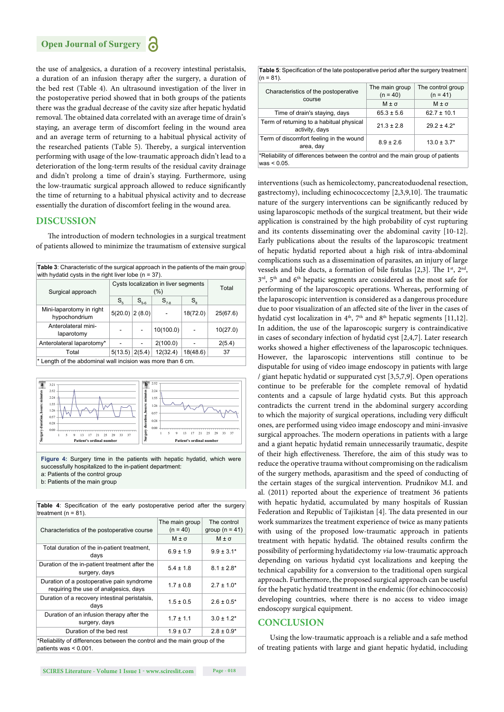the use of analgesics, a duration of a recovery intestinal peristalsis, a duration of an infusion therapy after the surgery, a duration of the bed rest (Table 4). An ultrasound investigation of the liver in the postoperative period showed that in both groups of the patients there was the gradual decrease of the cavity size after hepatic hydatid removal. The obtained data correlated with an average time of drain's staying, an average term of discomfort feeling in the wound area and an average term of returning to a habitual physical activity of the researched patients (Table 5). Thereby, a surgical intervention performing with usage of the low-traumatic approach didn't lead to a deterioration of the long-term results of the residual cavity drainage and didn't prolong a time of drain's staying. Furthermore, using the low-traumatic surgical approach allowed to reduce significantly the time of returning to a habitual physical activity and to decrease essentially the duration of discomfort feeling in the wound area.

#### **DISCUSSION**

The introduction of modern technologies in a surgical treatment of patients allowed to minimize the traumatism of extensive surgical

| <b>Table 3:</b> Characteristic of the surgical approach in the patients of the main group<br>with hydatid cysts in the right liver lobe ( $n = 37$ ). |                                      |           |           |             |          |
|-------------------------------------------------------------------------------------------------------------------------------------------------------|--------------------------------------|-----------|-----------|-------------|----------|
| Surgical approach                                                                                                                                     | Cysts localization in liver segments | Total     |           |             |          |
|                                                                                                                                                       | $S_{\kappa}$                         | $S_{5.6}$ | $S_{7.8}$ | $S_{\rm a}$ |          |
| Mini-laparotomy in right<br>hypochondrium                                                                                                             | $5(20.0)$ 2 (8.0)                    |           |           | 18(72.0)    | 25(67.6) |
| Anterolateral mini-<br>laparotomy                                                                                                                     |                                      |           | 10(100.0) |             | 10(27.0) |
| Anterolateral laparotomy*                                                                                                                             |                                      |           | 2(100.0)  |             | 2(5.4)   |
| Total                                                                                                                                                 | 5(13.5)                              | 2(5.4)    | 12(32.4)  | 18(48.6)    | 37       |
| * Langth of the abdominal unll incision was more than C am                                                                                            |                                      |           |           |             |          |

Length of the abdominal wall incision was more than 6 cm.



successfully hospitalized to the in-patient department: a: Patients of the control group b: Patients of the main group

| treatment $(n = 81)$ .                                                                                |                              |                                   |  |  |  |
|-------------------------------------------------------------------------------------------------------|------------------------------|-----------------------------------|--|--|--|
| Characteristics of the postoperative course                                                           | The main group<br>$(n = 40)$ | The control<br>group ( $n = 41$ ) |  |  |  |
|                                                                                                       | $M \pm \sigma$               | $M \pm \sigma$                    |  |  |  |
| Total duration of the in-patient treatment,<br>days                                                   | $6.9 \pm 1.9$                | $9.9 \pm 3.1*$                    |  |  |  |
| Duration of the in-patient treatment after the<br>surgery, days                                       | $5.4 \pm 1.8$                | $8.1 \pm 2.8^*$                   |  |  |  |
| Duration of a postoperative pain syndrome<br>requiring the use of analgesics, days                    | $1.7 \pm 0.8$                | $2.7 \pm 1.0^*$                   |  |  |  |
| Duration of a recovery intestinal peristalsis,<br>days                                                | $1.5 \pm 0.5$                | $2.6 \pm 0.5^*$                   |  |  |  |
| Duration of an infusion therapy after the<br>surgery, days                                            | $1.7 \pm 1.1$                | $3.0 \pm 1.2$ *                   |  |  |  |
| Duration of the bed rest                                                                              | $1.9 \pm 0.7$                | $2.8 \pm 0.9^*$                   |  |  |  |
| *Reliability of differences between the control and the main group of the<br>patients was $< 0.001$ . |                              |                                   |  |  |  |

Table 4: Specification of the early postoperative period after the surgery treatment ( $n = 81$ ).

| <b>Table 5:</b> Specification of the late postoperative period after the surgery treatment |
|--------------------------------------------------------------------------------------------|
| $(n = 81)$ .                                                                               |

| Characteristics of the postoperative                                                             | The main group<br>$(n = 40)$ | The control group<br>$(n = 41)$ |  |
|--------------------------------------------------------------------------------------------------|------------------------------|---------------------------------|--|
| course                                                                                           | $M \pm \sigma$               | $M \pm \sigma$                  |  |
| Time of drain's staying, days                                                                    | $65.3 \pm 5.6$               | $62.7 \pm 10.1$                 |  |
| Term of returning to a habitual physical<br>activity, days                                       | $21.3 \pm 2.8$               | $29.2 \pm 4.2^*$                |  |
| Term of discomfort feeling in the wound<br>area, day                                             | $8.9 \pm 2.6$                | $13.0 \pm 3.7$ *                |  |
| *Reliability of differences between the control and the main group of patients<br>$was < 0.05$ . |                              |                                 |  |
|                                                                                                  |                              |                                 |  |

interventions (such as hemicolectomy, pancreatoduodenal resection, gastrectomy), including echinococcectomy [2,3,9,10]. The traumatic nature of the surgery interventions can be significantly reduced by using laparoscopic methods of the surgical treatment, but their wide application is constrained by the high probability of cyst rupturing and its contents disseminating over the abdominal cavity [10-12]. Early publications about the results of the laparoscopic treatment of hepatic hydatid reported about a high risk of intra-abdominal complications such as a dissemination of parasites, an injury of large vessels and bile ducts, a formation of bile fistulas [2,3]. The  $1<sup>st</sup>$ ,  $2<sup>nd</sup>$ , 3<sup>rd</sup>, 5<sup>th</sup> and 6<sup>th</sup> hepatic segments are considered as the most safe for performing of the laparoscopic operations. Whereas, performing of the laparoscopic intervention is considered as a dangerous procedure due to poor visualization of an affected site of the liver in the cases of hydatid cyst localization in  $4<sup>th</sup>$ ,  $7<sup>th</sup>$  and  $8<sup>th</sup>$  hepatic segments [11,12]. In addition, the use of the laparoscopic surgery is contraindicative in cases of secondary infection of hydatid cyst [2,4,7]. Later research works showed a higher effectiveness of the laparoscopic techniques. However, the laparoscopic interventions still continue to be disputable for using of video image endoscopy in patients with large / giant hepatic hydatid or suppurated cyst [3,5,7,9]. Open operations continue to be preferable for the complete removal of hydatid contents and a capsule of large hydatid cysts. But this approach contradicts the current trend in the abdominal surgery according to which the majority of surgical operations, including very difficult ones, are performed using video image endoscopy and mini-invasive surgical approaches. The modern operations in patients with a large and a giant hepatic hydatid remain unnecessarily traumatic, despite of their high effectiveness. Therefore, the aim of this study was to reduce the operative trauma without compromising on the radicalism of the surgery methods, aparasitism and the speed of conducting of the certain stages of the surgical intervention. Prudnikov M.I. and al. (2011) reported about the experience of treatment 36 patients with hepatic hydatid, accumulated by many hospitals of Russian Federation and Republic of Tajikistan [4]. The data presented in our work summarizes the treatment experience of twice as many patients with using of the proposed low-traumatic approach in patients treatment with hepatic hydatid. The obtained results confirm the possibility of performing hydatidectomy *via* low-traumatic approach depending on various hydatid cyst localizations and keeping the technical capability for a conversion to the traditional open surgical approach. Furthermore, the proposed surgical approach can be useful for the hepatic hydatid treatment in the endemic (for echinococcosis) developing countries, where there is no access to video image endoscopy surgical equipment.

#### **CONCLUSION**

Using the low-traumatic approach is a reliable and a safe method of treating patients with large and giant hepatic hydatid, including